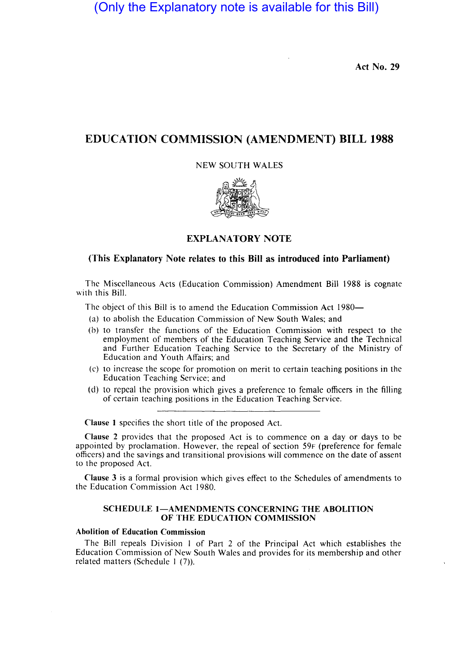(Only the Explanatory note is available for this Bill)

Act No. 29

# EDUCATION COMMISSION (AMENDMENT) BILL 1988

### NEW SOUTH WALES



# EXPLANATORY NOTE

# (This Explanatory Note relates to this Bill as introduced into Parliament)

The Miscellaneous Acts (Education Commission) Amendment Bill 1988 is cognate with this Bill.

The object of this Bill is to amend the Education Commission Act 1980-

- (a) to abolish the Education Commission of New South Wales; and
- (b) to transfer the functions of the Education Commission with respect to the employment of members of the Education Teaching Service and the Technical and Further Education Teaching Service to the Secretary of the Ministry of Education and Youth Affairs; and
- (c) to increase the scope for promotion on merit to certain teaching positions in the Education Teaching Service; and
- (d) to repeal the provision which gives a preference to female officers in the filling of certain teaching positions in the Education Teaching Service.

Clause I specifies the short title of the proposed Act.

Clause 2 provides that the proposed Act is to commence on a day or days to be appointed by proclamation. However, the repeal of section 59F (preference for female officers) and the savings and transitional provisions will commence on the date of assent to the proposed Act.

Clause 3 is a formal provision which gives effect to the Schedules of amendments to the Education Commission Act 1980.

#### SCHEDULE 1-AMENDMENTS CONCERNING THE ABOLITION OF THE EDUCATION COMMISSION

### Abolition of Education Commission

The Bill repeals Division I of Part 2 of the Principal Act which establishes the Education Commission of New South Wales and provides for its membership and other related matters (Schedule 1 (7)).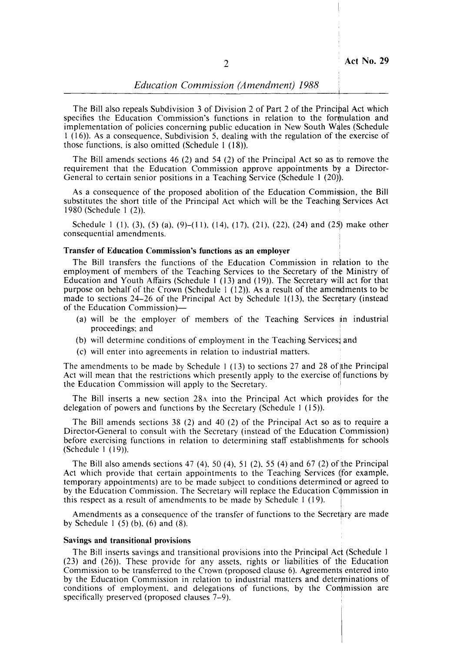The Bill also repeals Subdivision 3 of Division 2 of Part 2 of the Principal Act which specifies the Education Commission's functions in relation to the formulation and implementation of policies concerning public education in New South Wales (Schedule  $1$  (16)). As a consequence, Subdivision 5, dealing with the regulation of the exercise of those functions, is also omitted (Schedule 1  $(18)$ ).

The Bill amends sections 46 (2) and 54 (2) of the Principal Act so as to remove the requirement that the Education Commission approve appointments by a Director-General to certain senior positions in a Teaching Service (Schedule 1 (20)).

As a consequence of the proposed abolition of the Education Commission, the Bill substitutes the short title of the Principal Act which will be the Teaching Services Act 1980 (Schedule I (2)).

Schedule 1 (1), (3), (5) (a), (9)–(11), (14), (17), (21), (22), (24) and (25) make other consequential amendments.

#### Transfer of Education Commission's functions as an employer

The Bill transfers the functions of the Education Commission in relation to the employment of members of the Teaching Services to the Secretary of the Ministry of Education and Youth Affairs (Schedule  $1$  (13) and (19)). The Secretary will act for that purpose on behalf of the Crown (Schedule  $\frac{1}{2}$  (12)). As a result of the amendments to be made to sections  $24-26$  of the Principal Act by Schedule 1(13), the Secretary (instead of the Education Commission)-

- (a) will be the employer of members of the Teaching Services in industrial proceedings; and
- (b) will determine conditions of employment in the Teaching Services; and
- (c) will enter into agreements in relation to industrial matters.

The amendments to be made by Schedule 1 (13) to sections 27 and 28 of the Principal Act will mean that the restrictions which presently apply to the exercise of functions by the Education Commission will apply to the Secretary.

The Bill inserts a new section 28A into the Principal Act which provides for the delegation of powers and functions by the Secretary (Schedule I (15)).

The Bill amends sections  $38(2)$  and  $40(2)$  of the Principal Act so as to require a Director-General to consult with the Secretary (instead of the Education Commission) before exercising functions in relation to determining staff establishments for schools (Schedule 1 (19)).

The Bill also amends sections 47 (4), 50 (4), 51 (2), 55 (4) and 67 (2) of the Principal Act which provide that certain appointments to the Teaching Services (for example, temporary appointments) are to be made subject to conditions determined or agreed to by the Education Commission. The Secretary will replace the Education Commission in this respect as a result of amendments to be made by Schedule 1 (19).

Amendments as a consequence of the transfer of functions to the Secretary are made by Schedule 1  $(5)$  (b),  $(6)$  and  $(8)$ .

#### Savings and transitional provisions

The Bill inserts savings and transitional provisions into the Principal Act (Schedule I (23) and (26». These provide for any assets, rights or liabilities of the Education Commission to be transferred to the Crown (proposed clause 6). Agreements entered into by the Education Commission in relation to industrial matters and determinations of conditions of employment. and delegations of functions. by the Contmission are specifically preserved (proposed clauses 7-9).